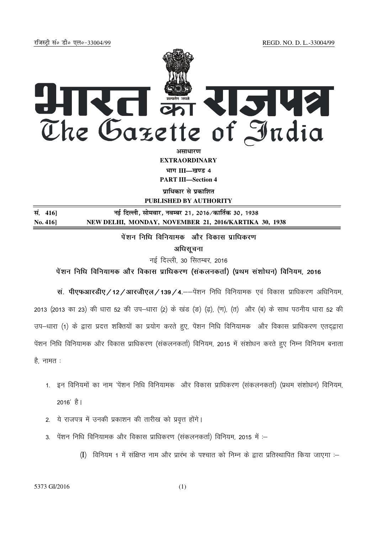jftLVªh laö Mhö ,yö&33004@99 REGD. NO. D. L.-33004/99



**vlk/kj.k EXTRAORDINARY** भाग III—खण्ड 4

**PART III—Section 4** 

**पाधिकार से प्रकाशित PUBLISHED BY AUTHORITY**

**la- 416] ubZ fnYyh] lkseokj] uoEcj 21] 2016@dkfrZd 30] 1938 No. 416] NEW DELHI, MONDAY, NOVEMBER 21, 2016/KARTIKA 30, 1938**

पेंशन निधि विनियामक और विकास प्राधिकरण

अधिसूचना

नई दिल्ली, 30 सितम्बर, 2016

पेंशन निधि विनियामक और विकास प्राधिकरण (संकलनकर्ता) (प्रथम संशोधन) विनियम, 2016

सं. पीएफआरडीए / 12 / आरजीएल / 139 / 4.——पेंशन निधि विनियामक एवं विकास प्राधिकरण अधिनियम. 2013 (2013 का 23) की धारा 52 की उप–धारा (2) के खंड (ड़) (ढ़), (ण), (त) और (ब) के साथ पठनीय धारा 52 की उप-धारा (1) के द्वारा प्रदत्त शक्तियों का प्रयोग करते हुए, पेंशन निधि विनियामक और विकास प्राधिकरण एतदृद्वारा पेंशन निधि विनियामक और विकास प्राधिकरण (संकलनकर्ता) विनियम, 2015 में संशोधन करते हुए निम्न विनियम बनाता  $\hat{\epsilon}$ , नामत:

- 1. इन विनियमों का नाम 'पेंशन निधि विनियामक) और विकास प्राधिकरण (संकलनकर्ता) (प्रथम संशोधन) विनियम,  $2016'$  है।
- 2. ये राजपत्र में उनकी प्रकाशन की तारीख को प्रवृत्त होंगे।
- $3.$  पेंशन निधि विनियामक और विकास प्राधिकरण (संकलनकर्ता) विनियम, 2015 में :-
	- $\rm(I)$  विनियम 1 में संक्षिप्त नाम और प्रारंभ के पश्चात को निम्न के द्वारा प्रतिस्थापित किया जाएगा :–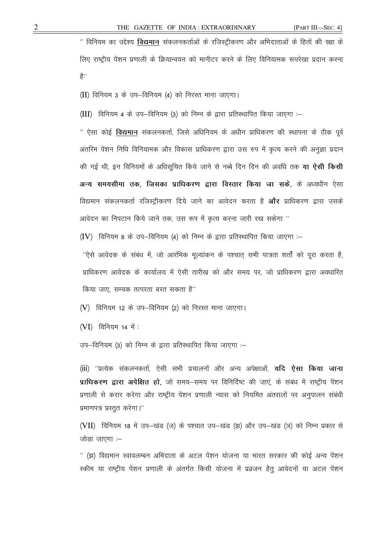" विनियम का उद्देश्य विद्यमान संकलनकर्ताओं के रजिस्ट्रीकरण और अभिदाताओं के हितों की रक्षा के लिए राष्ट्रीय पेंशन प्रणाली के क्रियान्वयन को मानीटर करने के लिए विनियामक रूपरेखा प्रदान करना 含''

 $(II)$  विनियम 3 के उप-विनियम (4) को निरस्त माना जाएगा।

(III) विनियम 4 के उप-विनियम (3) को निम्न के द्वारा प्रतिस्थापित किया जाएगा :-

" ऐसा कोई **विद्यमान** संकलनकर्ता, जिसे अधिनियम के अधीन प्राधिकरण की स्थापना के ठीक पूर्व अंतरिम पेंशन निधि विनियामक और विकास प्राधिकरण द्वारा उस रुप में कृत्य करने की अनज्ञा प्रदान की गई थी, इन विनियमों के अधिसुचित किये जाने से नब्बे दिन दिन की अवधि तक **या ऐसी किसी** अन्य समयसीमा तक, जिसका प्राधिकरण द्वारा विस्तार किया जा सके, के अध्यधीन ऐसा विद्यमान संकलनकर्ता रजिस्टीकरण दिये जाने का आवेदन करता है **और** प्राधिकरण द्वारा उसके आवेदन का निपटान किये जाने तक, उस रूप में कृत्य करना जारी रख सकेगा "

 $(IV)$  विनियम 8 के उप-विनियम (4) को निम्न के द्वारा प्रतिस्थापित किया जाएगा :-

''ऐसे आवेदक के संबंध में, जो आरंभिक मूल्यांकन के पश्चात् सभी पात्रता शर्तों को पूरा करता है, प्राधिकरण आवेदक के कार्यालय में ऐसी तारीख को और समय पर, जो प्राधिकरण द्वारा अवधारित किया जाए. सम्यक तत्परता बरत सकता है''

(V) विनियम 12 के उप-विनियम (2) को निरस्त माना जाएगा।

 $(VI)$  विनियम 14 में :

उप-विनियम (3) को निम्न के द्वारा प्रतिस्थापित किया जाएगा :-

(iii) ''प्रत्येक संकलनकर्ता, ऐसी सभी प्रचालनों और अन्य अपेक्षाओं, **यदि ऐसा किया जाना** प्राधिकरण द्वारा अपेक्षित हो, जो समय—समय पर विनिर्दिष्ट की जाएं, के संबंध में राष्ट्रीय पेंशन प्रणाली से करार करेगा और राष्ट्रीय पेंशन प्रणाली न्यास को नियमित अंतरालों पर अनुपालन संबंधी प्रमाणपत्र प्रस्तुत करेगा।''

(VII) विनियम 18 में उप-खंड (ज) के पश्चात उप-खंड (झ) और उप-खंड (ञ) को निम्न प्रकार से जोड़ा जाएगा :–

'' (झ) विद्यमान स्वावलम्बन अभिदाता के अटल पेंशन योजना या भारत सरकार की कोई अन्य पेंशन स्कीम या राष्ट्रीय पेंशन प्रणाली के अंतर्गत किसी योजना में प्रव्रजन हेतु आवेदनों या अटल पेंशन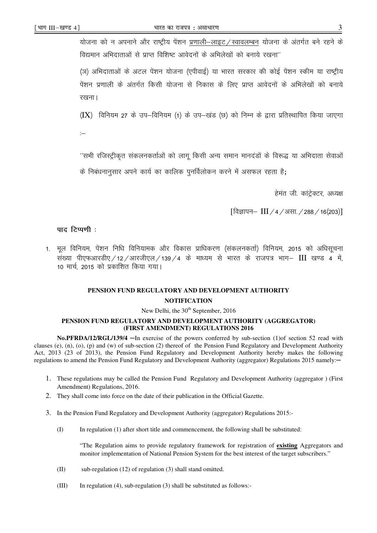3

योजना को न अपनाने और राष्ट्रीय पेंशन प्रणाली–लाइट / स्वावलम्बन योजना के अंतर्गत बने रहने के विद्यमान अभिदाताओं से प्राप्त विशिष्ट आवेदनों के अभिलेखों को बनाये रखना"

(ञ) अभिदाताओं के अटल पेंशन योजना (एपीवाई) या भारत सरकार की कोई पेंशन स्कीम या राष्ट्रीय पेंशन प्रणाली के अंतर्गत किसी योजना से निकास के लिए प्राप्त आवेदनों के अभिलेखों को बनाये रखना।

 $(IX)$  विनियम 27 के उप–विनियम (1) के उप–खंड (छ) को निम्न के द्रारा प्रतिस्थापित किया जाएगा

 $\overline{\phantom{a}}$ 

''सभी रजिस्ट्रीकृत संकलनकर्ताओं को लागू किसी अन्य समान मानदंडों के विरूद्ध या अभिदाता सेवाओं

के निबंधनानसार अपने कार्य का कालिक पनर्विलोकन करने में असफल रहता है:

हेमंत जी. कांट्रेक्टर, अध्यक्ष

[विज्ञापन- III / 4 / असा. / 288 / 16(203)]

# पाद टिप्पणी :

1. मूल विनियम, पेंशन निधि विनियामक और विकास प्राधिकरण (संकलनकर्ता) विनियम, 2015 को अधिसूचना संख्या पीएफआरडीए / 12 / आरजीएल / 139 / 4 के माध्यम से भारत के राजपत्र भाग- III खण्ड 4 में, 10 मार्च, 2015 को प्रकाशित किया गया।

# PENSION FUND REGULATORY AND DEVELOPMENT AUTHORITY **NOTIFICATION**

### New Delhi, the 30<sup>th</sup> September, 2016

## PENSION FUND REGULATORY AND DEVELOPMENT AUTHORITY (AGGREGATOR) (FIRST AMENDMENT) REGULATIONS 2016

No.PFRDA/12/RGL/139/4 - In exercise of the powers conferred by sub-section (1) of section 52 read with clauses (e), (n), (o), (p) and (w) of sub-section (2) thereof of the Pension Fund Regulatory and Development Authority Act, 2013 (23 of 2013), the Pension Fund Regulatory and Development Authority hereby makes the following regulations to amend the Pension Fund Regulatory and Development Authority (aggregator) Regulations 2015 namely:-

- 1. These regulations may be called the Pension Fund Regulatory and Development Authority (aggregator) (First Amendment) Regulations, 2016.
- 2. They shall come into force on the date of their publication in the Official Gazette.
- 3. In the Pension Fund Regulatory and Development Authority (aggregator) Regulations 2015:-
	- $(1)$ In regulation (1) after short title and commencement, the following shall be substituted:

"The Regulation aims to provide regulatory framework for registration of existing Aggregators and monitor implementation of National Pension System for the best interest of the target subscribers."

- $(II)$ sub-regulation (12) of regulation (3) shall stand omitted.
- $(III)$ In regulation  $(4)$ , sub-regulation  $(3)$  shall be substituted as follows: